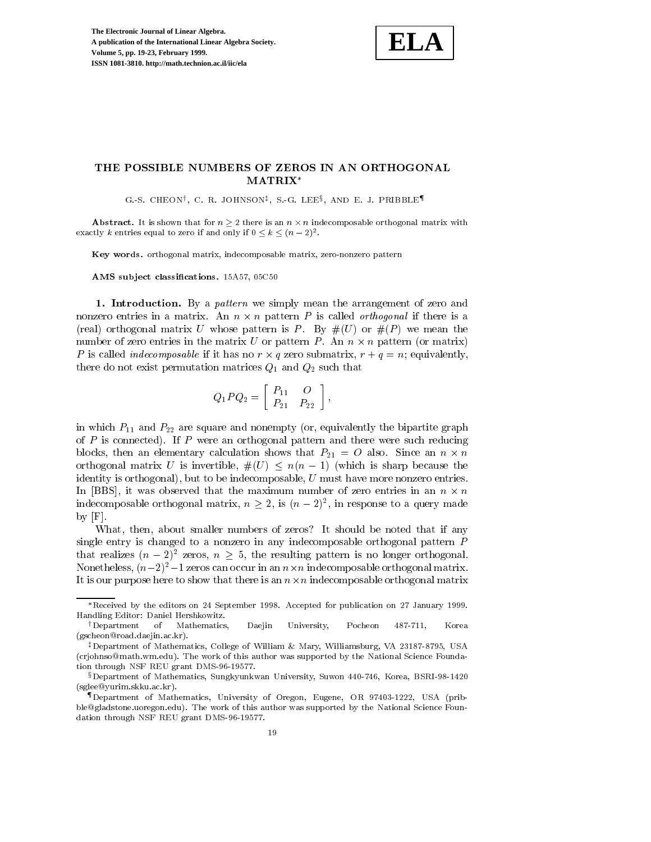

## THE POSSIBLE NUMBERS OF ZEROS IN AN ORTHOGONAL MATRIX

G.S. CHEON', C. R. JOHNSON\*, S. G. LEE?, AND E. J. PRIDDLE''

Abstract. It is shown that for <sup>n</sup> 2 there is an <sup>n</sup> - <sup>n</sup> indecomposable orthogonal matrix with exactly  $\kappa$  entries equal to zero if and only if  $0 \leq \kappa \leq (n - 2)^2$ .

Key words. orthogonal matrix, indecomposable matrix, zero-nonzero pattern

AMS subject classifications. 15A57, 05C50

1. Introduction. By a pattern we simply mean the arrangement of zero and nonzero entries in a matrix. An  $n \times n$  pattern  $P$  is called *orthogonal* if there is a (real) orthogonal matrix U whose pattern is P. By  $#(U)$  or  $#(P)$  we mean the number of zero entries in the matrix U or pattern P. An  $n \times n$  pattern (or matrix) P is called *indecomposable* if it has no  $r \times q$  zero submatrix,  $r + q = n$ ; equivalently, there do not exist permutation matrices  $Q_1$  and  $Q_2$  such that

$$
Q_1 P Q_2 = \left[ \begin{array}{cc} P_{11} & O \\ P_{21} & P_{22} \end{array} \right],
$$

the contract of the contract of the contract of the contract of the contract of

in which  $P_{11}$  and  $P_{22}$  are square and nonempty (or, equivalently the bipartite graph of  $P$  is connected). If  $P$  were an orthogonal pattern and there were such reducing blocks, then an elementary calculation shows that  $P_{21} = U$  also. Since an  $n \times n$ orthogonal matrix U is invertible,  $\#(U) \leq n(n-1)$  (which is sharp because the identity is orthogonal), but to be indecomposable,  $U$  must have more nonzero entries. In  $|{\rm BBS}|$ , it was observed that the maximum number of zero entries in an  $n \times n$ indecomposable orthogonal matrix,  $n \geq 2$ , is  $(n-2)^2$ , in response to a query made by  $[F]$ .

What, then, about smaller numbers of zeros? It should be noted that if any single entry is changed to a nonzero in any indecomposable orthogonal pattern P that realizes  $(n-2)^2$  zeros,  $n \geq 5$ , the resulting pattern is no longer orthogonal. Nonetheless,  $(n-2)^2-1$  zeros can occur in an  $n\times n$  indecomposable orthogonal matrix. It is our purpose here to show that there is an  $n\times n$  indecomposable orthogonal matrix

Received by the editors on 24 September 1998. Accepted for publication on 27 January 1999. Handling Editor: Daniel Hershkowitz.

yDepartment of Mathematics, Daejin University, Pocheon 487-711, Korea (gscheon@road.daejin.ac.kr).

<sup>&</sup>lt;sup>‡</sup>Department of Mathematics, College of William & Mary, Williamsburg, VA 23187-8795, USA (crjohnso@math.wm.edu). The work of this author was supported by the National Science Foundation through NSF REU grant DMS-96-19577.

xDepartment of Mathematics, Sungkyunkwan University, Suwon 440-746, Korea, BSRI-98-1420 (sglee@yurim.skku.ac.kr).

<sup>{</sup>Department of Mathematics, University of Oregon, Eugene, OR 97403-1222, USA (pribble@gladstone.uoregon.edu). The work of this author was supported by the National Science Foun dation through NSF REU grant DMS-96-19577.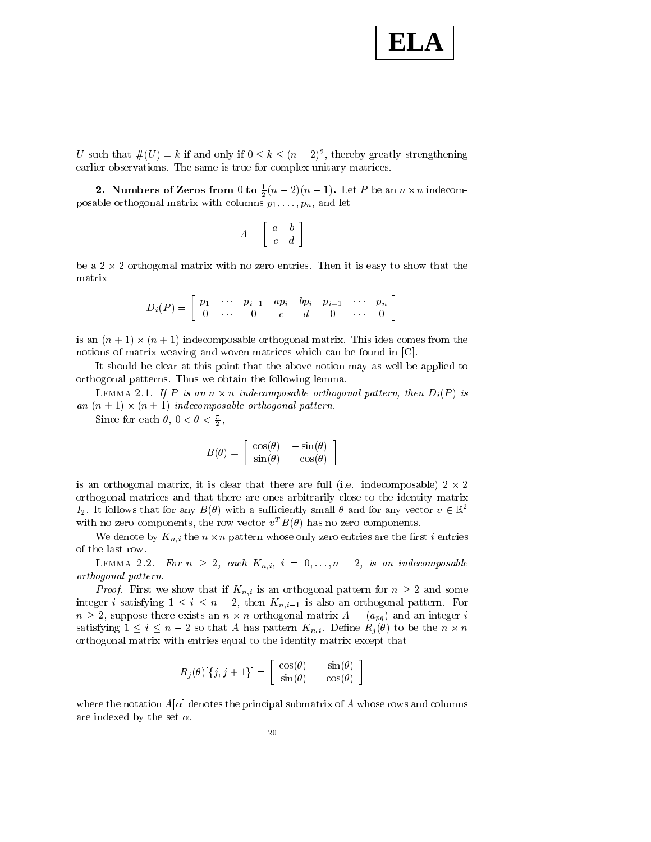

U such that  $\#(U) = k$  if and only if  $0 \leq k \leq (n-2)^2$ , thereby greatly strengthening earlier observations. The same is true for complex unitary matrices.

**2.** Numbers of Zeros from 0 to  $\frac{1}{2}(n-2)(n-1)$ . Let P be an  $n \times n$  indecomposable or those  $\rho$  matrix matrix with columns p1;::;;pn, para letter

$$
A = \left[ \begin{array}{cc} a & b \\ c & d \end{array} \right]
$$

be a  $2 \times 2$  orthogonal matrix with no zero entries. Then it is easy to show that the matrix

$$
D_i(P) = \left[ \begin{array}{cccccc} p_1 & \cdots & p_{i-1} & ap_i & bp_i & p_{i+1} & \cdots & p_n \\ 0 & \cdots & 0 & c & d & 0 & \cdots & 0 \end{array} \right]
$$

is an  $(n+1) \times (n+1)$  indecomposable orthogonal matrix. This idea comes from the notions of matrix weaving and woven matrices which can be found in [C].

It should be clear at this point that the above notion may as well be applied to orthogonal patterns. Thus we obtain the following lemma.

LEMMA 2.1. If P is an  $n \times n$  indecomposable orthogonal pattern, then  $D_i(P)$  is an  $(n + 1) \times (n + 1)$  indecomposable orthogonal pattern.

Since for each  $\theta$ ,  $0 < \theta < \frac{\pi}{2}$ , ,

$$
B(\theta) = \begin{bmatrix} \cos(\theta) & -\sin(\theta) \\ \sin(\theta) & \cos(\theta) \end{bmatrix}
$$

is an orthogonal matrix, it is clear that there are full (i.e.  $\,$  indecomposable) 2  $\times$  2  $\,$ orthogonal matrices and that there are ones arbitrarily close to the identity matrix  $I_2$ . It follows that for any  $B(\theta)$  with a sufficiently small  $\theta$  and for any vector  $v \in \mathbb{R}^2$ with no zero components, the row vector  $v^T B(\theta)$  has no zero components.

We denote by  $K_{n,i}$  the  $n \times n$  pattern whose only zero entries are the first i entries of the last row.

LEMMA 2.2. For  $n \geq 2$ , each  $K_{n,i}$ ,  $i = 0, \ldots, n-2$ , is an indecomposable orthogonal pattern.

*Proof.* First we show that if  $K_{n,i}$  is an orthogonal pattern for  $n \geq 2$  and some integer *i* satisfying  $1 \le i \le n - 2$ , then  $K_{n,i-1}$  is also an orthogonal pattern. For  $n \geq 2$ , suppose there exists an  $n \times n$  orthogonal matrix  $A = (a_{pq})$  and an integer i satisfying  $1 \le i \le n-2$  so that A has pattern  $K_{n,i}$ . Define  $R_i(\theta)$  to be the  $n \times n$ orthogonal matrix with entries equal to the identity matrix except that

$$
R_j(\theta)[\{j,j+1\}] = \begin{bmatrix} \cos(\theta) & -\sin(\theta) \\ \sin(\theta) & \cos(\theta) \end{bmatrix}
$$

where the notation  $A[\alpha]$  denotes the principal submatrix of A whose rows and columns are indexed by the set  $\alpha$ .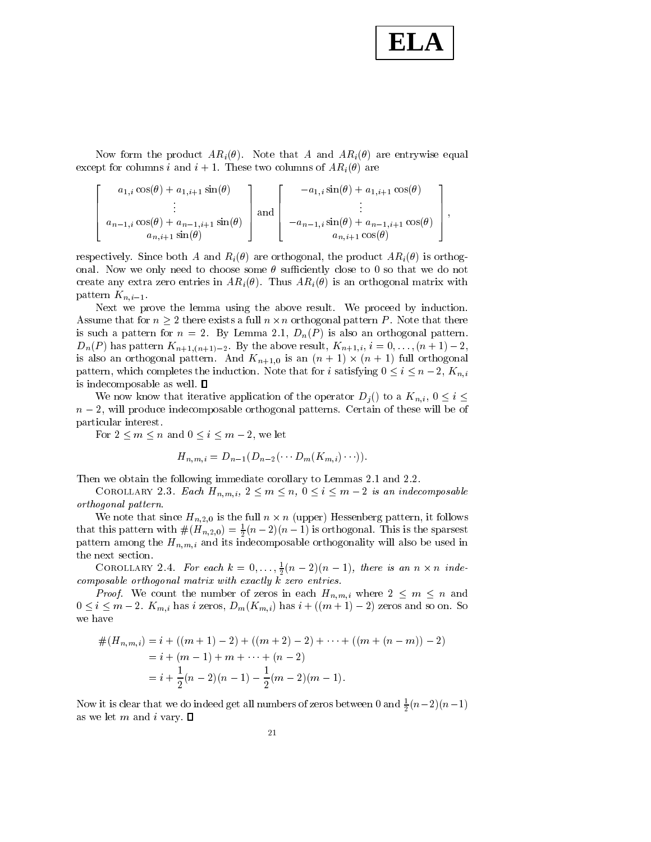## **ELA**

;

Now form the product  $AR_i(\theta)$ . Note that A and  $AR_i(\theta)$  are entrywise equal except for columns i and  $i + 1$ . These two columns of  $AR_i(\theta)$  are

$$
\begin{bmatrix}\n a_{1,i} \cos(\theta) + a_{1,i+1} \sin(\theta) \\
\vdots \\
a_{n-1,i} \cos(\theta) + a_{n-1,i+1} \sin(\theta)\n \end{bmatrix}\n \text{and}\n \begin{bmatrix}\n -a_{1,i} \sin(\theta) + a_{1,i+1} \cos(\theta) \\
\vdots \\
-a_{n-1,i} \sin(\theta) + a_{n-1,i+1} \cos(\theta)\n \end{bmatrix},
$$

respectively. Since both A and  $R_i(\theta)$  are orthogonal, the product  $AR_i(\theta)$  is orthogonal. Now we only need to choose some  $\theta$  sufficiently close to 0 so that we do not create any extra zero entries in  $AR_i(\theta)$ . Thus  $AR_i(\theta)$  is an orthogonal matrix with pattern  $K_{n,i-1}$ .

Next we prove the lemma using the above result. We proceed by induction. Assume that for  $n \geq 2$  there exists a full  $n \times n$  orthogonal pattern P. Note that there is such a pattern for  $n = 2$ . By Lemma 2.1,  $D_n(P)$  is also an orthogonal pattern.  $D_n(P)$  has pattern  $K_{n+1,(n+1)-2}$ . By the above result,  $K_{n+1,i}$ ,  $i = 0,\ldots,(n+1)-2$ , is also an orthogonal pattern. And  $K_{n+1,0}$  is an  $(n+1) \times (n+1)$  full orthogonal pattern, which completes the induction. Note that for i satisfying  $0 \le i \le n-2$ ,  $K_{n,i}$ is indecomposable as well.  $\square$ 

We now know that iterative application of the operator  $D_i()$  to a  $K_{n,i}$ ,  $0 \leq i \leq$  $n-2$ , will produce indecomposable orthogonal patterns. Certain of these will be of particular interest.

For  $2 \leq m \leq n$  and  $0 \leq i \leq m-2$ , we let

$$
H_{n,m,i} = D_{n-1}(D_{n-2}(\cdots D_m(K_{m,i})\cdots)).
$$

Then we obtain the following immediate corollary to Lemmas 2.1 and 2.2.

COROLLARY 2.3. Each  $H_{n,m,i}$ ,  $2 \leq m \leq n$ ,  $0 \leq i \leq m-2$  is an indecomposable orthogonal pattern.

We note that since  $H_{n,2,0}$  is the full  $n \times n$  (upper) Hessenberg pattern, it follows that this pattern with  $\#(H_{n,2,0}) = \frac{1}{2}(n-2)(n-1)$  is orthogonal. This is the sparsest pattern among the Hn;min among indecomposable or the used index index index index index index index index index index index index index index index index index index index index index index index index index index index i the next section.

COROLLARY 2.4. For each  $k = 0, \ldots, \frac{1}{2}(n-2)(n-1)$ , there is an  $n \times n$  indecomposable orthogonal matrix with exactly k zero entries.

*Proof.* We count the number of zeros in each  $H_{n,m,i}$  where  $2 \leq m \leq n$  and  $0 \le i \le m - 2$ .  $K_{m,i}$  has i zeros,  $D_m(K_{m,i})$  has  $i + ((m + 1) - 2)$  zeros and so on. So we have

$$
#(H_{n,m,i}) = i + ((m + 1) - 2) + ((m + 2) - 2) + \dots + ((m + (n - m)) - 2)
$$
  
=  $i + (m - 1) + m + \dots + (n - 2)$   
=  $i + \frac{1}{2}(n - 2)(n - 1) - \frac{1}{2}(m - 2)(m - 1)$ .

Now it is clear that we do indeed get all numbers of zeros between 0 and  $\frac{1}{2}(n-2)(n-1)$ as we let m and i vary.  $\square$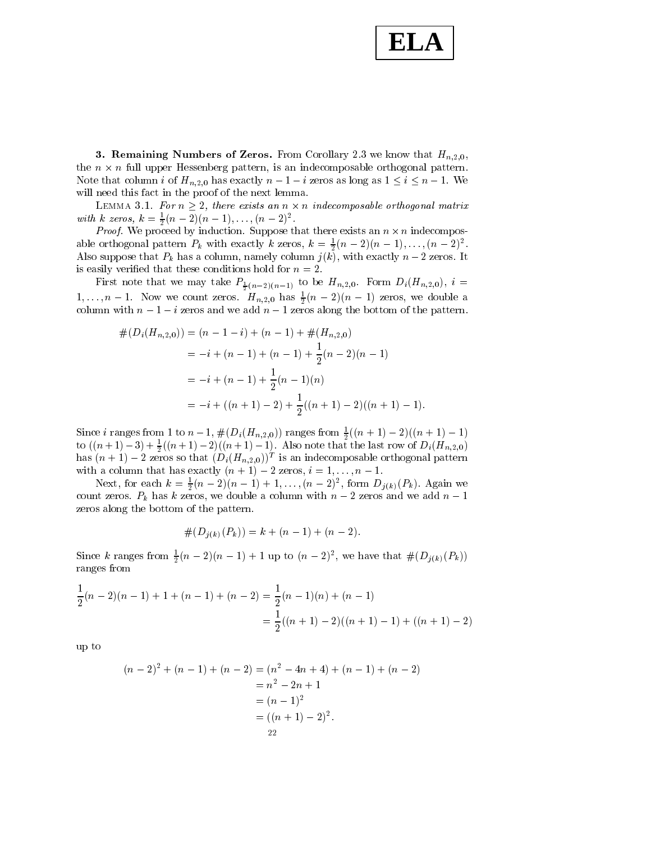

**3. Remaining Numbers of Zeros.** From Corollary 2.3 we know that  $H_{n,2,0}$ , the  $n \times n$  full upper Hessenberg pattern, is an indecomposable orthogonal pattern. Note that column *i* of  $H_{n,2,0}$  has exactly  $n-1-i$  zeros as long as  $1 \le i \le n-1$ . We will need this fact in the proof of the next lemma.

LEMMA 3.1. For  $n \geq 2$ , there exists an  $n \times n$  indecomposable orthogonal matrix with k zeros,  $\kappa = \frac{1}{2}(n-2)(n-1),\ldots,(n-2)^{2}$ .

*Proof.* We proceed by induction. Suppose that there exists an  $n \times n$  indecomposable orthogonal pattern  $P_k$  with exactly k zeros,  $\kappa = \frac{1}{2}(n-2)(n-1),\ldots,(n-2)^{2}$ . Also suppose that  $P_k$  has a column, namely column  $j(k)$ , with exactly  $n-2$  zeros. It is easily verified that these conditions hold for  $n = 2$ .

First note that we may take  $P_{\frac{1}{2}}(n-2)(n-1)$  to be  $P_{1}$  if  $n=1,2,0$ . Form  $P_{1}$  is  $P_{2}$  $1,\ldots,n-1$ . Now we count zeros.  $H_{n,2,0}$  has  $\frac{1}{2}(n-2)(n-1)$  zeros, we double a column with  $n-1-i$  zeros and we add  $n-1$  zeros along the bottom of the pattern.

$$
\#(D_i(H_{n,2,0})) = (n-1-i) + (n-1) + \#(H_{n,2,0})
$$
  
= -i + (n-1) + (n-1) +  $\frac{1}{2}$ (n-2)(n-1)  
= -i + (n-1) +  $\frac{1}{2}$ (n-1)(n)  
= -i + ((n + 1) - 2) +  $\frac{1}{2}$ ((n + 1) - 2)((n + 1) - 1).

Since *i* ranges from 1 to  $n-1$ ,  $\#(D_i(H_{n,2,0}))$  ranges from  $\frac{1}{2}((n+1)-2)((n+1)-1)$ to  $((n+1)-3)+\frac{1}{2}((n+1)-2)((n+1)-1)$ . Also note that the last row of  $D_i(H_{n,2,0})$ has  $(n+1)-2$  zeros so that  $(D_i(H_{n,2,0}))^T$  is an indecomposable orthogonal pattern with a column that has exactly  $(n + 1) - 2$  zeros,  $i = 1, \ldots, n - 1$ .

Next, for each  $\kappa = \frac{1}{2}(n-2)(n-1) + 1, \ldots, (n-2)^2$ , form  $D_{i(k)}(P_k)$ . Again we count zeros.  $P_k$  has k zeros, we double a column with  $n-2$  zeros and we add  $n-1$ zeros along the bottom of the pattern.

$$
#(D_{j(k)}(P_k)) = k + (n - 1) + (n - 2).
$$

 $\#(D_j(k)(P_k)) = k + (n-1) + (n-2).$ <br>Since k ranges from  $\frac{1}{2}(n-2)(n-1) + 1$  up to  $(n-2)^2$ , we have that  $\#(D_{j(k)}(P_k))$ ranges from

$$
\frac{1}{2}(n-2)(n-1) + 1 + (n-1) + (n-2) = \frac{1}{2}(n-1)(n) + (n-1)
$$

$$
= \frac{1}{2}((n+1) - 2)((n+1) - 1) + ((n+1) - 2)
$$

up to

$$
(n-2)^2 + (n-1) + (n-2) = (n^2 - 4n + 4) + (n-1) + (n-2)
$$
  
=  $n^2 - 2n + 1$   
=  $(n-1)^2$   
=  $((n + 1) - 2)^2$ .